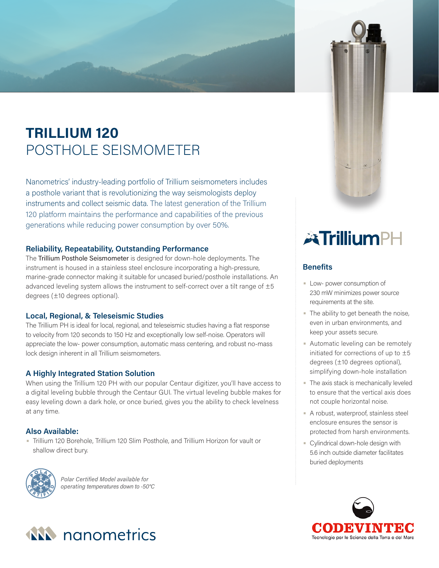# **TRILLIUM 120** POSTHOLE SEISMOMETER

Nanometrics' industry-leading portfolio of Trillium seismometers includes a posthole variant that is revolutionizing the way seismologists deploy instruments and collect seismic data. The latest generation of the Trillium 120 platform maintains the performance and capabilities of the previous generations while reducing power consumption by over 50%.

# **Reliability, Repeatability, Outstanding Performance**

The Trillium Posthole Seismometer is designed for down-hole deployments. The instrument is housed in a stainless steel enclosure incorporating a high-pressure, marine-grade connector making it suitable for uncased buried/posthole installations. An advanced leveling system allows the instrument to self-correct over a tilt range of  $\pm 5$ degrees (±10 degrees optional).

# **Local, Regional, & Teleseismic Studies**

The Trillium PH is ideal for local, regional, and teleseismic studies having a flat response to velocity from 120 seconds to 150 Hz and exceptionally low self-noise. Operators will appreciate the low- power consumption, automatic mass centering, and robust no-mass lock design inherent in all Trillium seismometers.

# **A Highly Integrated Station Solution**

When using the Trillium 120 PH with our popular Centaur digitizer, you'll have access to a digital leveling bubble through the Centaur GUI. The virtual leveling bubble makes for easy leveling down a dark hole, or once buried, gives you the ability to check levelness at any time.

# **Also Available:**

• Trillium 120 Borehole, Trillium 120 Slim Posthole, and Trillium Horizon for vault or shallow direct bury.



*Polar Certified Model available for operating temperatures down to -50°C*



- The ability to get beneath the noise, even in urban environments, and keep your assets secure.
- Automatic leveling can be remotely initiated for corrections of up to ±5 degrees (±10 degrees optional), simplifying down-hole installation
- The axis stack is mechanically leveled to ensure that the vertical axis does not couple horizontal noise.
- A robust, waterproof, stainless steel enclosure ensures the sensor is protected from harsh environments.
- Cylindrical down-hole design with 5.6 inch outside diameter facilitates buried deployments